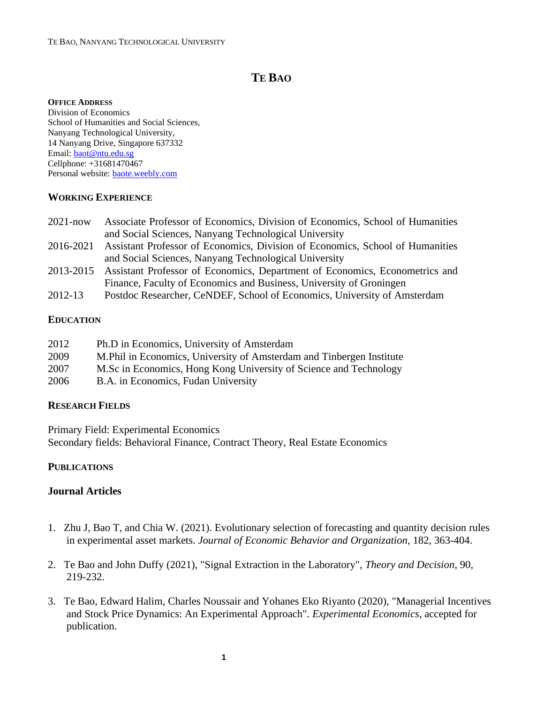# **TE BAO**

#### **OFFICE ADDRESS**

Division of Economics School of Humanities and Social Sciences, Nanyang Technological University, 14 Nanyang Drive, Singapore 637332 Email: [baot@ntu.edu.sg](mailto:baot@ntu.edu.sg) Cellphone: +31681470467 Personal website[: baote.weebly.com](https://sites.google.com/site/baotemujin/)

### **WORKING EXPERIENCE**

| $2021 - now$ | Associate Professor of Economics, Division of Economics, School of Humanities |
|--------------|-------------------------------------------------------------------------------|
|              | and Social Sciences, Nanyang Technological University                         |
| 2016-2021    | Assistant Professor of Economics, Division of Economics, School of Humanities |
|              | and Social Sciences, Nanyang Technological University                         |
|              |                                                                               |

- 2013-2015 Assistant Professor of Economics, Department of Economics, Econometrics and Finance, Faculty of Economics and Business, University of Groningen
- 2012-13 Postdoc Researcher, CeNDEF, School of Economics, University of Amsterdam

## **EDUCATION**

| 2012 | Ph.D in Economics, University of Amsterdam                            |
|------|-----------------------------------------------------------------------|
| 2009 | M. Phil in Economics, University of Amsterdam and Tinbergen Institute |
| 2007 | M.Sc in Economics, Hong Kong University of Science and Technology     |
| 2006 | B.A. in Economics, Fudan University                                   |

## **RESEARCH FIELDS**

Primary Field: Experimental Economics Secondary fields: Behavioral Finance, Contract Theory, Real Estate Economics

## **PUBLICATIONS**

## **Journal Articles**

- 1. Zhu J, Bao T, and Chia W. (2021). Evolutionary selection of forecasting and quantity decision rules in experimental asset markets. *Journal of Economic Behavior and Organization*, 182, 363-404.
- 2. Te Bao and John Duffy (2021), "Signal Extraction in the Laboratory", *Theory and Decision*, 90, 219-232.
- 3. Te Bao, Edward Halim, Charles Noussair and Yohanes Eko Riyanto (2020), "Managerial Incentives and Stock Price Dynamics: An Experimental Approach". *Experimental Economics*, accepted for publication.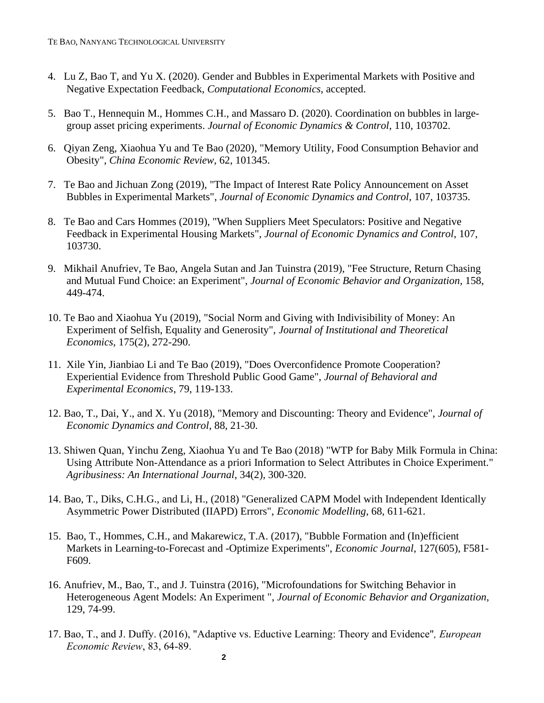- 4. Lu Z, Bao T, and Yu X. (2020). Gender and Bubbles in Experimental Markets with Positive and Negative Expectation Feedback, *Computational Economics*, accepted.
- 5. Bao T., Hennequin M., Hommes C.H., and Massaro D. (2020). Coordination on bubbles in largegroup asset pricing experiments. *Journal of Economic Dynamics & Control*, 110, 103702.
- 6. Qiyan Zeng, Xiaohua Yu and Te Bao (2020), "Memory Utility, Food Consumption Behavior and Obesity", *China Economic Review*, 62, 101345.
- 7. Te Bao and Jichuan Zong (2019), "The Impact of Interest Rate Policy Announcement on Asset Bubbles in Experimental Markets", *Journal of Economic Dynamics and Control*, 107, 103735.
- 8. Te Bao and Cars Hommes (2019), "When Suppliers Meet Speculators: Positive and Negative Feedback in Experimental Housing Markets", *Journal of Economic Dynamics and Control*, 107, 103730.
- 9. Mikhail Anufriev, Te Bao, Angela Sutan and Jan Tuinstra (2019), "Fee Structure, Return Chasing and Mutual Fund Choice: an Experiment", *Journal of Economic Behavior and Organization*, 158, 449-474.
- 10. Te Bao and Xiaohua Yu (2019), "Social Norm and Giving with Indivisibility of Money: An Experiment of Selfish, Equality and Generosity", *Journal of Institutional and Theoretical Economics*, 175(2), 272-290.
- 11. Xile Yin, Jianbiao Li and Te Bao (2019), "Does Overconfidence Promote Cooperation? Experiential Evidence from Threshold Public Good Game", *Journal of Behavioral and Experimental Economics*, 79, 119-133.
- 12. Bao, T., Dai, Y., and X. Yu (2018), "Memory and Discounting: Theory and Evidence", *Journal of Economic Dynamics and Control*, 88, 21-30.
- 13. Shiwen Quan, Yinchu Zeng, Xiaohua Yu and Te Bao (2018) "WTP for Baby Milk Formula in China: Using Attribute Non-Attendance as a priori Information to Select Attributes in Choice Experiment." *Agribusiness: An International Journal*, 34(2), 300-320.
- 14. Bao, T., Diks, C.H.G., and Li, H., (2018) "Generalized CAPM Model with Independent Identically Asymmetric Power Distributed (IIAPD) Errors", *Economic Modelling*, 68, 611-621.
- 15. Bao, T., Hommes, C.H., and Makarewicz, T.A. (2017), "Bubble Formation and (In)efficient Markets in Learning-to-Forecast and -Optimize Experiments", *Economic Journal*, 127(605), F581- F609.
- 16. Anufriev, M., Bao, T., and J. Tuinstra (2016), "Microfoundations for Switching Behavior in Heterogeneous Agent Models: An Experiment ", *Journal of Economic Behavior and Organization*, 129, 74-99.
- 17. Bao, T., and J. Duffy. (2016), "Adaptive vs. Eductive Learning: Theory and Evidence"*, European Economic Review*, 83, 64-89.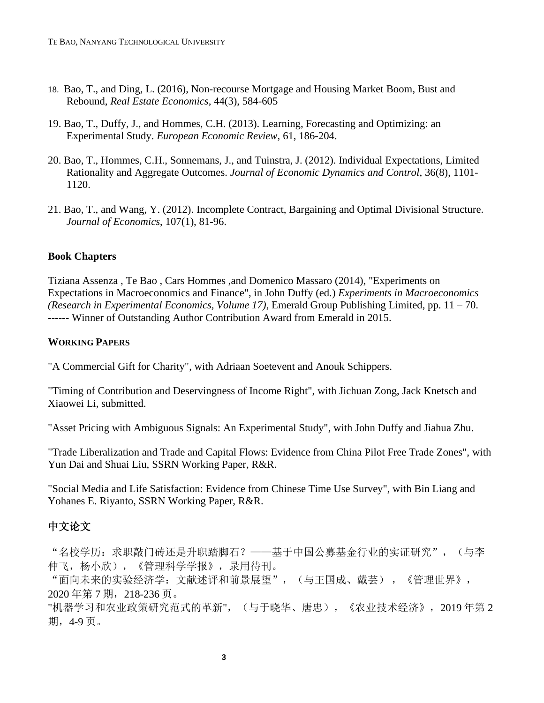- 18. Bao, T., and Ding, L. (2016), Non-recourse Mortgage and Housing Market Boom, Bust and Rebound, *Real Estate Economics*, 44(3), 584-605
- 19. Bao, T., Duffy, J., and Hommes, C.H. (2013). Learning, Forecasting and Optimizing: an Experimental Study. *European Economic Review*, 61, 186-204.
- 20. Bao, T., Hommes, C.H., Sonnemans, J., and Tuinstra, J. (2012). Individual Expectations, Limited Rationality and Aggregate Outcomes. *Journal of Economic Dynamics and Control*, 36(8), 1101- 1120.
- 21. Bao, T., and Wang, Y. (2012). Incomplete Contract, Bargaining and Optimal Divisional Structure. *Journal of Economics*, 107(1), 81-96.

#### **Book Chapters**

Tiziana Assenza , Te Bao , Cars Hommes ,and Domenico Massaro (2014), "Experiments on Expectations in Macroeconomics and Finance", in John Duffy (ed.) *Experiments in Macroeconomics (Research in Experimental Economics, Volume 17)*, Emerald Group Publishing Limited, pp. 11 – 70. ------ Winner of Outstanding Author Contribution Award from Emerald in 2015.

#### **WORKING PAPERS**

"A Commercial Gift for Charity", with Adriaan Soetevent and Anouk Schippers.

"Timing of Contribution and Deservingness of Income Right", with Jichuan Zong, Jack Knetsch and Xiaowei Li, submitted.

"Asset Pricing with Ambiguous Signals: An Experimental Study", with John Duffy and Jiahua Zhu.

"Trade Liberalization and Trade and Capital Flows: Evidence from China Pilot Free Trade Zones", with Yun Dai and Shuai Liu, SSRN Working Paper, R&R.

"Social Media and Life Satisfaction: Evidence from Chinese Time Use Survey", with Bin Liang and Yohanes E. Riyanto, SSRN Working Paper, R&R.

# 中文论文

"名校学历:求职敲门砖还是升职踏脚石?——基于中国公募基金行业的实证研究",(与李 仲飞,杨小欣),《管理科学学报》,录用待刊。

"面向未来的实验经济学:文献述评和前景展望",(与王国成、戴芸) ,《管理世界》, 2020 年第 7 期,218-236 页。

"机器学习和农业政策研究范式的革新",(与于晓华、唐忠),《农业技术经济》,2019 年第 2 期,4-9 页。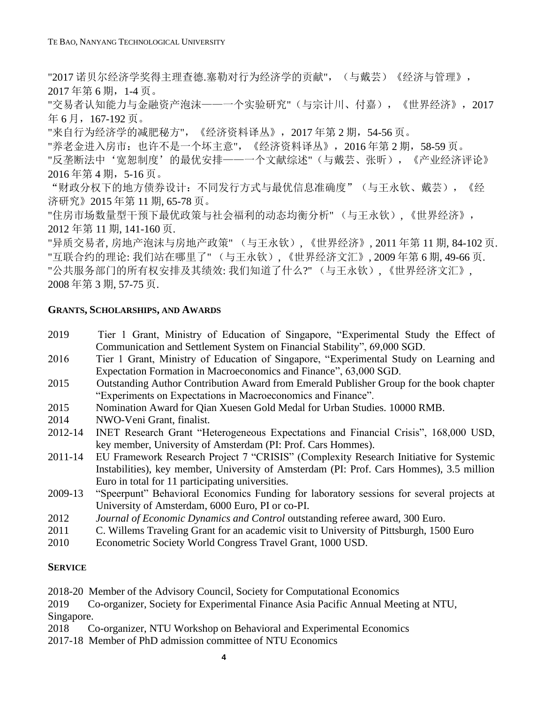"2017 诺贝尔经济学奖得主理查德.塞勒对行为经济学的贡献", (与戴芸)《经济与管理》, 2017 年第 6 期,1-4 页。

"交易者认知能力与金融资产泡沫——一个实验研究"(与宗计川、付嘉),《世界经济》,2017 年 6 月,167-192 页。

"来自行为经济学的减肥秘方",《经济资料译丛》,2017 年第 2 期,54-56 页。

"养老金进入房市: 也许不是一个坏主意", 《经济资料译丛》, 2016年第 2 期, 58-59 页。

"反垄断法中'宽恕制度'的最优安排——一个文献综述"(与戴芸、张昕),《产业经济评论》 2016 年第 4 期,5-16 页。

"财政分权下的地方债券设计:不同发行方式与最优信息准确度"(与王永钦、戴芸),《经 济研究》2015 年第 11 期, 65-78 页。

"住房市场数量型干预下最优政策与社会福利的动态均衡分析" (与王永钦), 《世界经济》, 2012 年第 11 期, 141-160 页.

"异质交易者, 房地产泡沫与房地产政策" (与王永钦), 《世界经济》, 2011 年第 11 期, 84-102 页. "互联合约的理论: 我们站在哪里了" (与王永钦), 《世界经济文汇》, 2009 年第 6 期, 49-66 页. "公共服务部门的所有权安排及其绩效: 我们知道了什么?" (与王永钦), 《世界经济文汇》, 2008 年第 3 期, 57-75 页.

### **GRANTS, SCHOLARSHIPS, AND AWARDS**

- 2019 Tier 1 Grant, Ministry of Education of Singapore, "Experimental Study the Effect of Communication and Settlement System on Financial Stability", 69,000 SGD.
- 2016 Tier 1 Grant, Ministry of Education of Singapore, "Experimental Study on Learning and Expectation Formation in Macroeconomics and Finance", 63,000 SGD.
- 2015 Outstanding Author Contribution Award from Emerald Publisher Group for the book chapter "Experiments on Expectations in Macroeconomics and Finance".
- 2015 Nomination Award for Qian Xuesen Gold Medal for Urban Studies. 10000 RMB.
- 2014 NWO-Veni Grant, finalist.
- 2012-14 INET Research Grant "Heterogeneous Expectations and Financial Crisis", 168,000 USD, key member, University of Amsterdam (PI: Prof. Cars Hommes).
- 2011-14 EU Framework Research Project 7 "CRISIS" (Complexity Research Initiative for Systemic Instabilities), key member, University of Amsterdam (PI: Prof. Cars Hommes), 3.5 million Euro in total for 11 participating universities.
- 2009-13 "Speerpunt" Behavioral Economics Funding for laboratory sessions for several projects at University of Amsterdam, 6000 Euro, PI or co-PI.
- 2012 *Journal of Economic Dynamics and Control* outstanding referee award, 300 Euro.
- 2011 C. Willems Traveling Grant for an academic visit to University of Pittsburgh, 1500 Euro
- 2010 Econometric Society World Congress Travel Grant, 1000 USD.

## **SERVICE**

2018-20 Member of the Advisory Council, Society for Computational Economics

2019 Co-organizer, Society for Experimental Finance Asia Pacific Annual Meeting at NTU, Singapore.

2018 Co-organizer, NTU Workshop on Behavioral and Experimental Economics

2017-18 Member of PhD admission committee of NTU Economics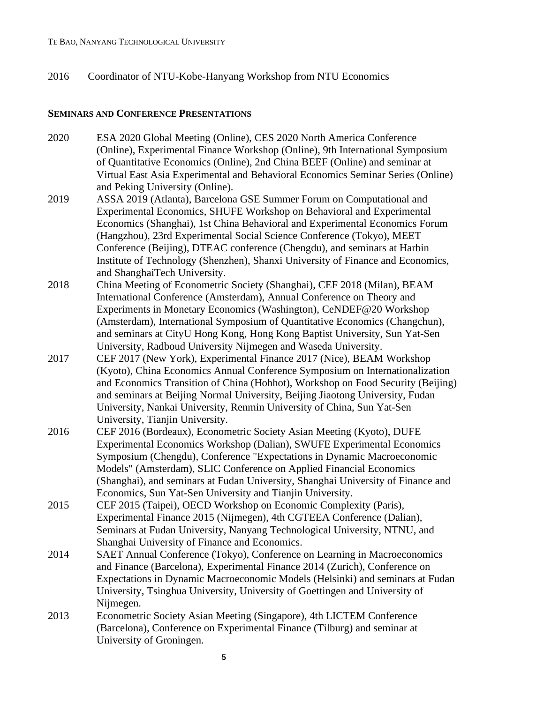#### 2016 Coordinator of NTU-Kobe-Hanyang Workshop from NTU Economics

#### **SEMINARS AND CONFERENCE PRESENTATIONS**

- 2020 ESA 2020 Global Meeting (Online), CES 2020 North America Conference (Online), Experimental Finance Workshop (Online), 9th International Symposium of Quantitative Economics (Online), 2nd China BEEF (Online) and seminar at Virtual East Asia Experimental and Behavioral Economics Seminar Series (Online) and Peking University (Online).
- 2019 ASSA 2019 (Atlanta), Barcelona GSE Summer Forum on Computational and Experimental Economics, SHUFE Workshop on Behavioral and Experimental Economics (Shanghai), 1st China Behavioral and Experimental Economics Forum (Hangzhou), 23rd Experimental Social Science Conference (Tokyo), MEET Conference (Beijing), DTEAC conference (Chengdu), and seminars at Harbin Institute of Technology (Shenzhen), Shanxi University of Finance and Economics, and ShanghaiTech University.
- 2018 China Meeting of Econometric Society (Shanghai), CEF 2018 (Milan), BEAM International Conference (Amsterdam), Annual Conference on Theory and Experiments in Monetary Economics (Washington), CeNDEF@20 Workshop (Amsterdam), International Symposium of Quantitative Economics (Changchun), and seminars at CityU Hong Kong, Hong Kong Baptist University, Sun Yat-Sen University, Radboud University Nijmegen and Waseda University.
- 2017 CEF 2017 (New York), Experimental Finance 2017 (Nice), BEAM Workshop (Kyoto), China Economics Annual Conference Symposium on Internationalization and Economics Transition of China (Hohhot), Workshop on Food Security (Beijing) and seminars at Beijing Normal University, Beijing Jiaotong University, Fudan University, Nankai University, Renmin University of China, Sun Yat-Sen University, Tianjin University.
- 2016 CEF 2016 (Bordeaux), Econometric Society Asian Meeting (Kyoto), DUFE Experimental Economics Workshop (Dalian), SWUFE Experimental Economics Symposium (Chengdu), Conference "Expectations in Dynamic Macroeconomic Models" (Amsterdam), SLIC Conference on Applied Financial Economics (Shanghai), and seminars at Fudan University, Shanghai University of Finance and Economics, Sun Yat-Sen University and Tianjin University.
- 2015 CEF 2015 (Taipei), OECD Workshop on Economic Complexity (Paris), Experimental Finance 2015 (Nijmegen), 4th CGTEEA Conference (Dalian), Seminars at Fudan University, Nanyang Technological University, NTNU, and Shanghai University of Finance and Economics.
- 2014 SAET Annual Conference (Tokyo), Conference on Learning in Macroeconomics and Finance (Barcelona), Experimental Finance 2014 (Zurich), Conference on Expectations in Dynamic Macroeconomic Models (Helsinki) and seminars at Fudan University, Tsinghua University, University of Goettingen and University of Nijmegen.
- 2013 Econometric Society Asian Meeting (Singapore), 4th LICTEM Conference (Barcelona), Conference on Experimental Finance (Tilburg) and seminar at University of Groningen.